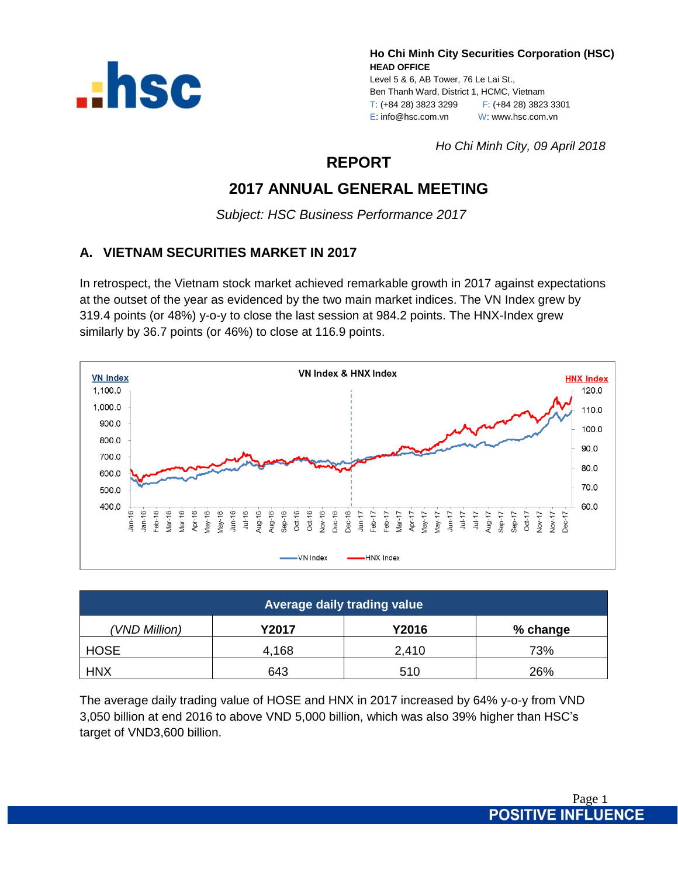

**Ho Chi Minh City Securities Corporation (HSC) HEAD OFFICE** Level 5 & 6, AB Tower, 76 Le Lai St., Ben Thanh Ward, District 1, HCMC, Vietnam T: (+84 28) 3823 3299 F: (+84 28) 3823 3301 E: info@hsc.com.vn W: www.hsc.com.vn

*Ho Chi Minh City, 09 April 2018*

# **REPORT**

# **2017 ANNUAL GENERAL MEETING**

*Subject: HSC Business Performance 2017*

# **A. VIETNAM SECURITIES MARKET IN 2017**

In retrospect, the Vietnam stock market achieved remarkable growth in 2017 against expectations at the outset of the year as evidenced by the two main market indices. The VN Index grew by 319.4 points (or 48%) y-o-y to close the last session at 984.2 points. The HNX-Index grew similarly by 36.7 points (or 46%) to close at 116.9 points.



| Average daily trading value |              |       |          |  |  |
|-----------------------------|--------------|-------|----------|--|--|
| (VND Million)               | <b>Y2017</b> | Y2016 | % change |  |  |
| <b>HOSE</b>                 | 4,168        | 2,410 | 73%      |  |  |
| <b>HNX</b>                  | 643          | 510   | 26%      |  |  |

The average daily trading value of HOSE and HNX in 2017 increased by 64% y-o-y from VND 3,050 billion at end 2016 to above VND 5,000 billion, which was also 39% higher than HSC's target of VND3,600 billion.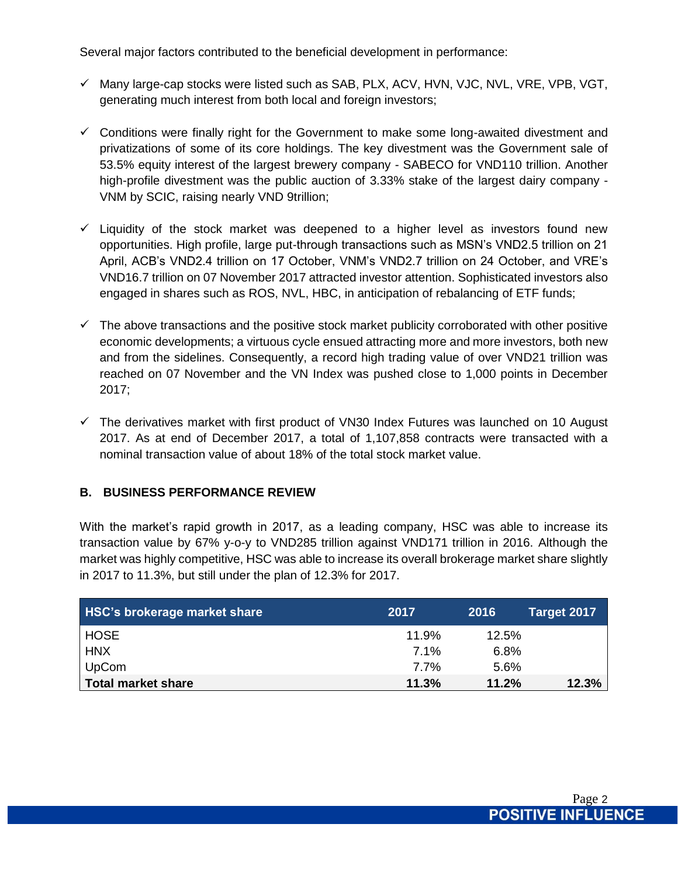Several major factors contributed to the beneficial development in performance:

- $\checkmark$  Many large-cap stocks were listed such as SAB, PLX, ACV, HVN, VJC, NVL, VRE, VPB, VGT, generating much interest from both local and foreign investors;
- $\checkmark$  Conditions were finally right for the Government to make some long-awaited divestment and privatizations of some of its core holdings. The key divestment was the Government sale of 53.5% equity interest of the largest brewery company - SABECO for VND110 trillion. Another high-profile divestment was the public auction of 3.33% stake of the largest dairy company - VNM by SCIC, raising nearly VND 9trillion;
- $\checkmark$  Liquidity of the stock market was deepened to a higher level as investors found new opportunities. High profile, large put-through transactions such as MSN's VND2.5 trillion on 21 April, ACB's VND2.4 trillion on 17 October, VNM's VND2.7 trillion on 24 October, and VRE's VND16.7 trillion on 07 November 2017 attracted investor attention. Sophisticated investors also engaged in shares such as ROS, NVL, HBC, in anticipation of rebalancing of ETF funds;
- $\checkmark$  The above transactions and the positive stock market publicity corroborated with other positive economic developments; a virtuous cycle ensued attracting more and more investors, both new and from the sidelines. Consequently, a record high trading value of over VND21 trillion was reached on 07 November and the VN Index was pushed close to 1,000 points in December 2017;
- $\checkmark$  The derivatives market with first product of VN30 Index Futures was launched on 10 August 2017. As at end of December 2017, a total of 1,107,858 contracts were transacted with a nominal transaction value of about 18% of the total stock market value.

# **B. BUSINESS PERFORMANCE REVIEW**

With the market's rapid growth in 2017, as a leading company, HSC was able to increase its transaction value by 67% y-o-y to VND285 trillion against VND171 trillion in 2016. Although the market was highly competitive, HSC was able to increase its overall brokerage market share slightly in 2017 to 11.3%, but still under the plan of 12.3% for 2017.

| <b>HSC's brokerage market share</b> | 2017  | 2016  | Target 2017 |
|-------------------------------------|-------|-------|-------------|
| <b>HOSE</b>                         | 11.9% | 12.5% |             |
| <b>HNX</b>                          | 7.1%  | 6.8%  |             |
| UpCom                               | 7.7%  | 5.6%  |             |
| Total market share                  | 11.3% | 11.2% | 12.3%       |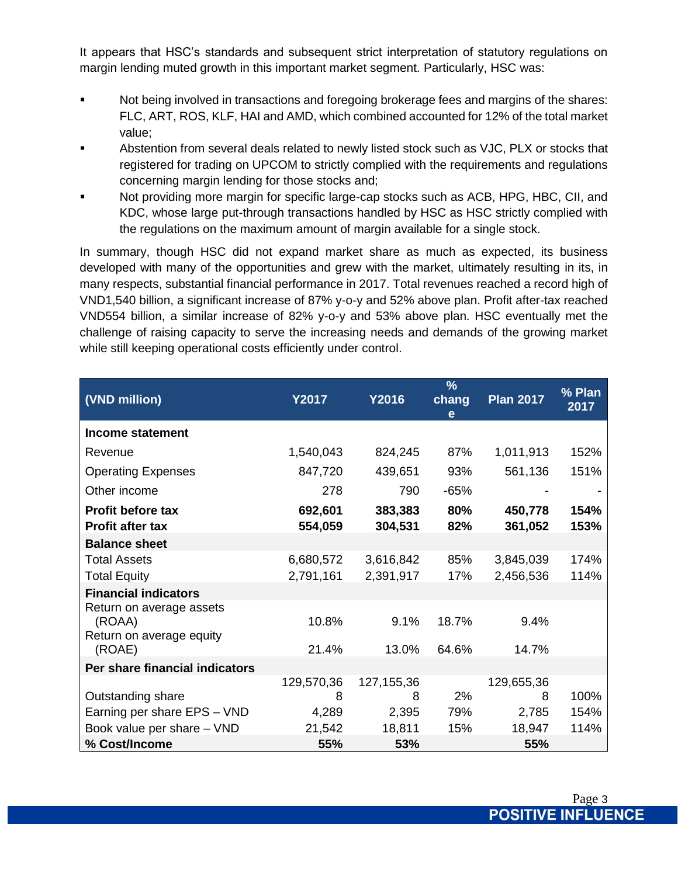It appears that HSC's standards and subsequent strict interpretation of statutory regulations on margin lending muted growth in this important market segment. Particularly, HSC was:

- **Not being involved in transactions and foregoing brokerage fees and margins of the shares:** FLC, ART, ROS, KLF, HAI and AMD, which combined accounted for 12% of the total market value;
- **EXECT** Abstention from several deals related to newly listed stock such as VJC, PLX or stocks that registered for trading on UPCOM to strictly complied with the requirements and regulations concerning margin lending for those stocks and;
- Not providing more margin for specific large-cap stocks such as ACB, HPG, HBC, CII, and KDC, whose large put-through transactions handled by HSC as HSC strictly complied with the regulations on the maximum amount of margin available for a single stock.

In summary, though HSC did not expand market share as much as expected, its business developed with many of the opportunities and grew with the market, ultimately resulting in its, in many respects, substantial financial performance in 2017. Total revenues reached a record high of VND1,540 billion, a significant increase of 87% y-o-y and 52% above plan. Profit after-tax reached VND554 billion, a similar increase of 82% y-o-y and 53% above plan. HSC eventually met the challenge of raising capacity to serve the increasing needs and demands of the growing market while still keeping operational costs efficiently under control.

| (VND million)                                                  | <b>Y2017</b>           | <b>Y2016</b>           | $\frac{9}{6}$<br>chang<br>e | <b>Plan 2017</b>       | % Plan<br>2017 |
|----------------------------------------------------------------|------------------------|------------------------|-----------------------------|------------------------|----------------|
| <b>Income statement</b>                                        |                        |                        |                             |                        |                |
| Revenue                                                        | 1,540,043              | 824,245                | 87%                         | 1,011,913              | 152%           |
| <b>Operating Expenses</b>                                      | 847,720                | 439,651                | 93%                         | 561,136                | 151%           |
| Other income                                                   | 278                    | 790                    | $-65%$                      |                        |                |
| <b>Profit before tax</b><br><b>Profit after tax</b>            | 692,601<br>554,059     | 383,383<br>304,531     | 80%<br>82%                  | 450,778<br>361,052     | 154%<br>153%   |
| <b>Balance sheet</b>                                           |                        |                        |                             |                        |                |
| <b>Total Assets</b><br><b>Total Equity</b>                     | 6,680,572<br>2,791,161 | 3,616,842<br>2,391,917 | 85%<br>17%                  | 3,845,039<br>2,456,536 | 174%<br>114%   |
| <b>Financial indicators</b>                                    |                        |                        |                             |                        |                |
| Return on average assets<br>(ROAA)<br>Return on average equity | 10.8%                  | 9.1%                   | 18.7%                       | 9.4%                   |                |
| (ROAE)                                                         | 21.4%                  | 13.0%                  | 64.6%                       | 14.7%                  |                |
| Per share financial indicators                                 |                        |                        |                             |                        |                |
|                                                                | 129,570,36             | 127, 155, 36           |                             | 129,655,36             |                |
| Outstanding share                                              | 8                      | 8                      | 2%                          | 8                      | 100%           |
| Earning per share EPS - VND                                    | 4,289                  | 2,395                  | 79%                         | 2,785                  | 154%           |
| Book value per share - VND                                     | 21,542                 | 18,811                 | 15%                         | 18,947                 | 114%           |
| % Cost/Income                                                  | 55%                    | 53%                    |                             | 55%                    |                |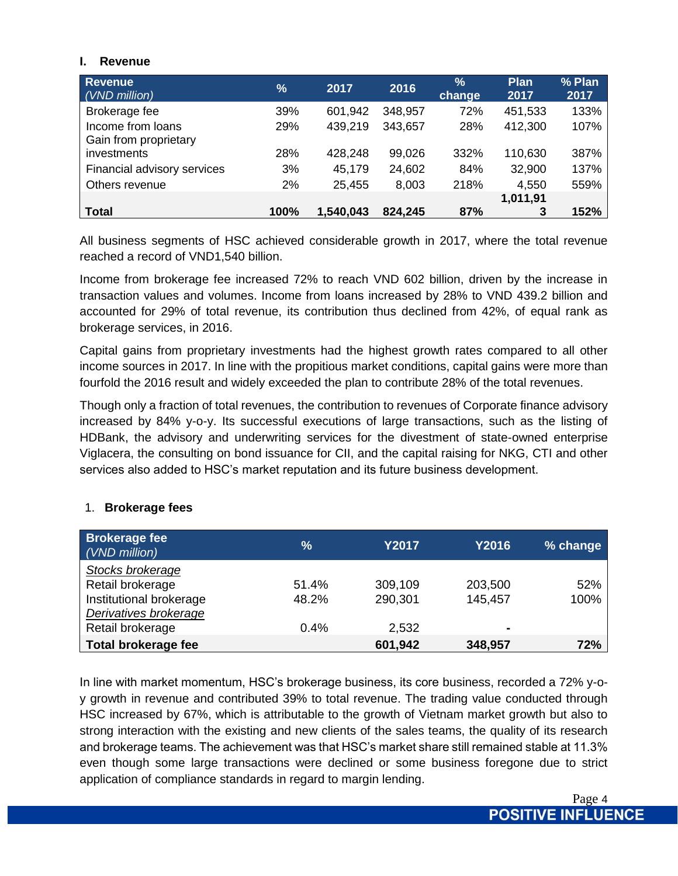### **I. Revenue**

| <b>Revenue</b><br>(VND million)            | $\frac{9}{6}$ | 2017      | 2016    | $\frac{9}{6}$<br>change | <b>Plan</b><br>2017 | % Plan<br>2017 |
|--------------------------------------------|---------------|-----------|---------|-------------------------|---------------------|----------------|
| Brokerage fee                              | 39%           | 601,942   | 348,957 | 72%                     | 451,533             | 133%           |
| Income from loans<br>Gain from proprietary | 29%           | 439,219   | 343,657 | 28%                     | 412,300             | 107%           |
| investments                                | 28%           | 428,248   | 99,026  | 332%                    | 110,630             | 387%           |
| Financial advisory services                | 3%            | 45,179    | 24,602  | 84%                     | 32,900              | 137%           |
| Others revenue                             | 2%            | 25,455    | 8,003   | 218%                    | 4,550               | 559%           |
|                                            |               |           |         |                         | 1,011,91            |                |
| <b>Total</b>                               | 100%          | 1,540,043 | 824,245 | 87%                     | 3                   | 152%           |

All business segments of HSC achieved considerable growth in 2017, where the total revenue reached a record of VND1,540 billion.

Income from brokerage fee increased 72% to reach VND 602 billion, driven by the increase in transaction values and volumes. Income from loans increased by 28% to VND 439.2 billion and accounted for 29% of total revenue, its contribution thus declined from 42%, of equal rank as brokerage services, in 2016.

Capital gains from proprietary investments had the highest growth rates compared to all other income sources in 2017. In line with the propitious market conditions, capital gains were more than fourfold the 2016 result and widely exceeded the plan to contribute 28% of the total revenues.

Though only a fraction of total revenues, the contribution to revenues of Corporate finance advisory increased by 84% y-o-y. Its successful executions of large transactions, such as the listing of HDBank, the advisory and underwriting services for the divestment of state-owned enterprise Viglacera, the consulting on bond issuance for CII, and the capital raising for NKG, CTI and other services also added to HSC's market reputation and its future business development.

| <b>Brokerage fee</b><br>(VND million) | $\%$  | <b>Y2017</b> | Y2016          | % change |
|---------------------------------------|-------|--------------|----------------|----------|
| Stocks brokerage                      |       |              |                |          |
| Retail brokerage                      | 51.4% | 309,109      | 203,500        | 52%      |
| Institutional brokerage               | 48.2% | 290,301      | 145,457        | 100%     |
| Derivatives brokerage                 |       |              |                |          |
| Retail brokerage                      | 0.4%  | 2,532        | $\blacksquare$ |          |
| <b>Total brokerage fee</b>            |       | 601,942      | 348,957        | 72%      |

# 1. **Brokerage fees**

In line with market momentum, HSC's brokerage business, its core business, recorded a 72% y-oy growth in revenue and contributed 39% to total revenue. The trading value conducted through HSC increased by 67%, which is attributable to the growth of Vietnam market growth but also to strong interaction with the existing and new clients of the sales teams, the quality of its research and brokerage teams. The achievement was that HSC's market share still remained stable at 11.3% even though some large transactions were declined or some business foregone due to strict application of compliance standards in regard to margin lending.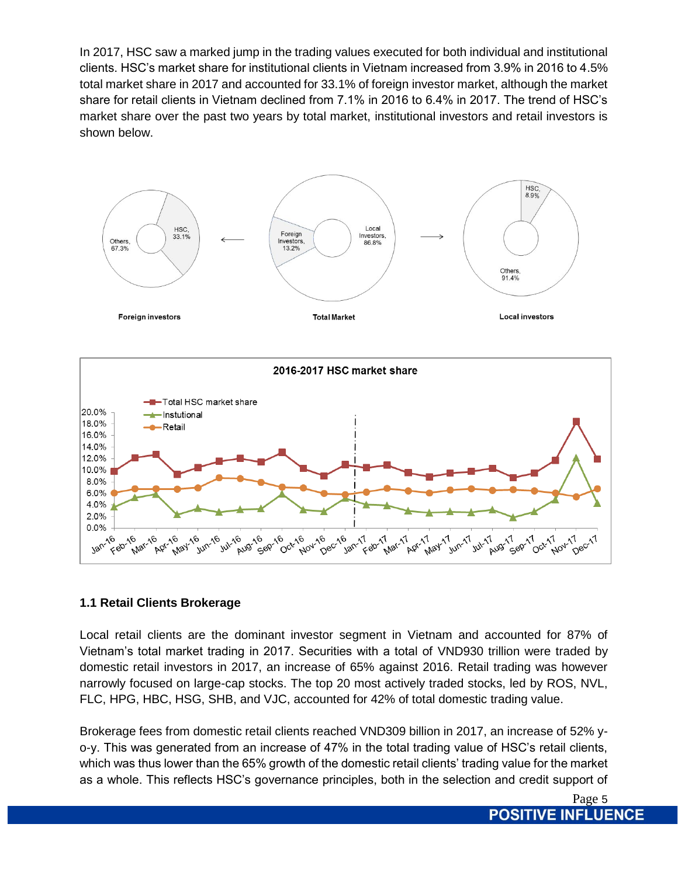In 2017, HSC saw a marked jump in the trading values executed for both individual and institutional clients. HSC's market share for institutional clients in Vietnam increased from 3.9% in 2016 to 4.5% total market share in 2017 and accounted for 33.1% of foreign investor market, although the market share for retail clients in Vietnam declined from 7.1% in 2016 to 6.4% in 2017. The trend of HSC's market share over the past two years by total market, institutional investors and retail investors is shown below.



# **1.1 Retail Clients Brokerage**

Local retail clients are the dominant investor segment in Vietnam and accounted for 87% of Vietnam's total market trading in 2017. Securities with a total of VND930 trillion were traded by domestic retail investors in 2017, an increase of 65% against 2016. Retail trading was however narrowly focused on large-cap stocks. The top 20 most actively traded stocks, led by ROS, NVL, FLC, HPG, HBC, HSG, SHB, and VJC, accounted for 42% of total domestic trading value.

Brokerage fees from domestic retail clients reached VND309 billion in 2017, an increase of 52% yo-y. This was generated from an increase of 47% in the total trading value of HSC's retail clients, which was thus lower than the 65% growth of the domestic retail clients' trading value for the market as a whole. This reflects HSC's governance principles, both in the selection and credit support of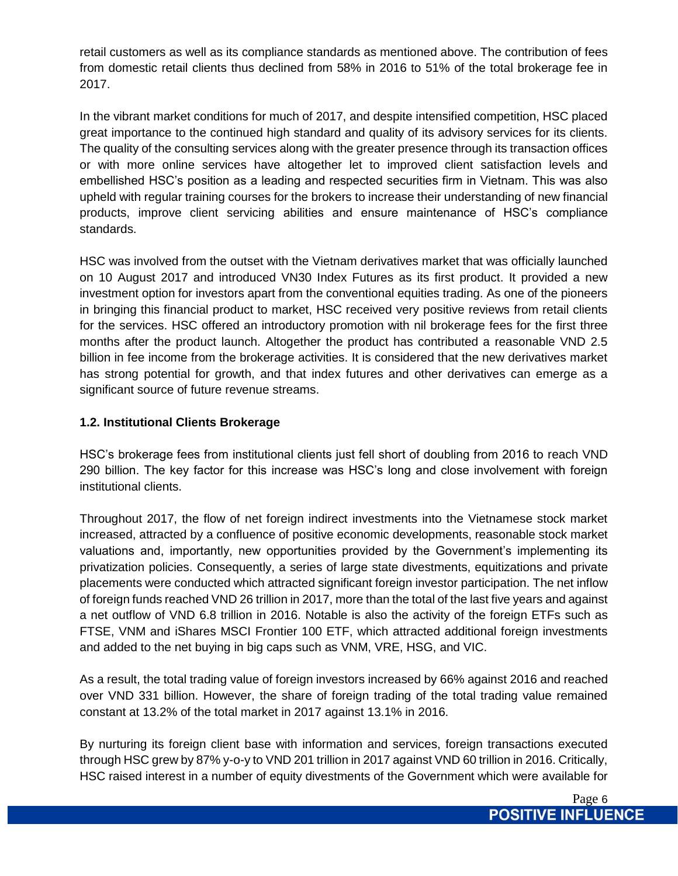retail customers as well as its compliance standards as mentioned above. The contribution of fees from domestic retail clients thus declined from 58% in 2016 to 51% of the total brokerage fee in 2017.

In the vibrant market conditions for much of 2017, and despite intensified competition, HSC placed great importance to the continued high standard and quality of its advisory services for its clients. The quality of the consulting services along with the greater presence through its transaction offices or with more online services have altogether let to improved client satisfaction levels and embellished HSC's position as a leading and respected securities firm in Vietnam. This was also upheld with regular training courses for the brokers to increase their understanding of new financial products, improve client servicing abilities and ensure maintenance of HSC's compliance standards.

HSC was involved from the outset with the Vietnam derivatives market that was officially launched on 10 August 2017 and introduced VN30 Index Futures as its first product. It provided a new investment option for investors apart from the conventional equities trading. As one of the pioneers in bringing this financial product to market, HSC received very positive reviews from retail clients for the services. HSC offered an introductory promotion with nil brokerage fees for the first three months after the product launch. Altogether the product has contributed a reasonable VND 2.5 billion in fee income from the brokerage activities. It is considered that the new derivatives market has strong potential for growth, and that index futures and other derivatives can emerge as a significant source of future revenue streams.

# **1.2. Institutional Clients Brokerage**

HSC's brokerage fees from institutional clients just fell short of doubling from 2016 to reach VND 290 billion. The key factor for this increase was HSC's long and close involvement with foreign institutional clients.

Throughout 2017, the flow of net foreign indirect investments into the Vietnamese stock market increased, attracted by a confluence of positive economic developments, reasonable stock market valuations and, importantly, new opportunities provided by the Government's implementing its privatization policies. Consequently, a series of large state divestments, equitizations and private placements were conducted which attracted significant foreign investor participation. The net inflow of foreign funds reached VND 26 trillion in 2017, more than the total of the last five years and against a net outflow of VND 6.8 trillion in 2016. Notable is also the activity of the foreign ETFs such as FTSE, VNM and iShares MSCI Frontier 100 ETF, which attracted additional foreign investments and added to the net buying in big caps such as VNM, VRE, HSG, and VIC.

As a result, the total trading value of foreign investors increased by 66% against 2016 and reached over VND 331 billion. However, the share of foreign trading of the total trading value remained constant at 13.2% of the total market in 2017 against 13.1% in 2016.

By nurturing its foreign client base with information and services, foreign transactions executed through HSC grew by 87% y-o-y to VND 201 trillion in 2017 against VND 60 trillion in 2016. Critically, HSC raised interest in a number of equity divestments of the Government which were available for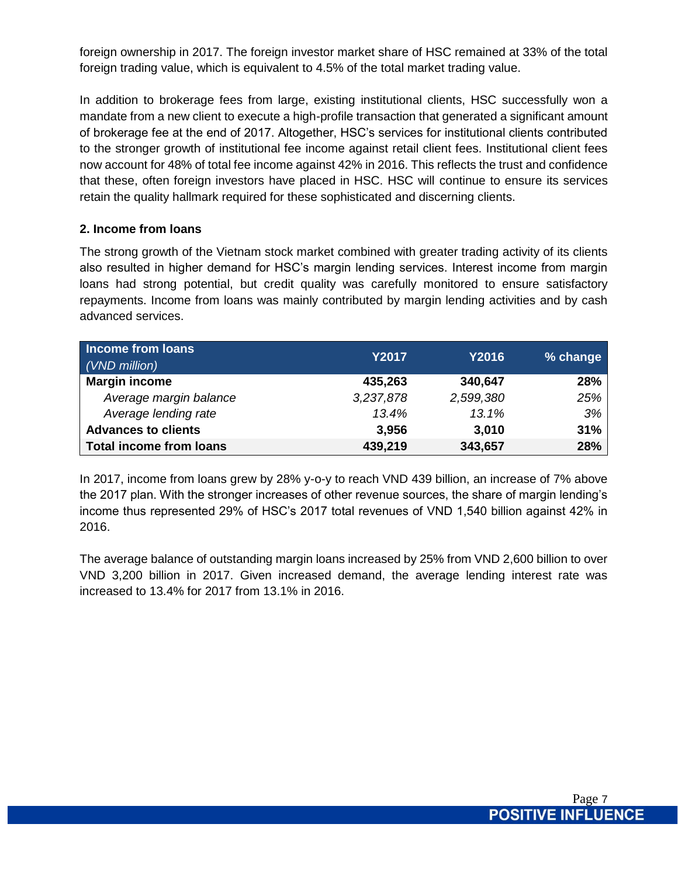foreign ownership in 2017. The foreign investor market share of HSC remained at 33% of the total foreign trading value, which is equivalent to 4.5% of the total market trading value.

In addition to brokerage fees from large, existing institutional clients, HSC successfully won a mandate from a new client to execute a high-profile transaction that generated a significant amount of brokerage fee at the end of 2017. Altogether, HSC's services for institutional clients contributed to the stronger growth of institutional fee income against retail client fees. Institutional client fees now account for 48% of total fee income against 42% in 2016. This reflects the trust and confidence that these, often foreign investors have placed in HSC. HSC will continue to ensure its services retain the quality hallmark required for these sophisticated and discerning clients.

### **2. Income from loans**

The strong growth of the Vietnam stock market combined with greater trading activity of its clients also resulted in higher demand for HSC's margin lending services. Interest income from margin loans had strong potential, but credit quality was carefully monitored to ensure satisfactory repayments. Income from loans was mainly contributed by margin lending activities and by cash advanced services.

| <b>Income from loans</b><br>(VND million) | Y2017     | <b>Y2016</b> | % change |
|-------------------------------------------|-----------|--------------|----------|
| <b>Margin income</b>                      | 435,263   | 340,647      | 28%      |
| Average margin balance                    | 3,237,878 | 2,599,380    | 25%      |
| Average lending rate                      | 13.4%     | 13.1%        | 3%       |
| <b>Advances to clients</b>                | 3,956     | 3,010        | 31%      |
| <b>Total income from loans</b>            | 439,219   | 343,657      | 28%      |

In 2017, income from loans grew by 28% y-o-y to reach VND 439 billion, an increase of 7% above the 2017 plan. With the stronger increases of other revenue sources, the share of margin lending's income thus represented 29% of HSC's 2017 total revenues of VND 1,540 billion against 42% in 2016.

The average balance of outstanding margin loans increased by 25% from VND 2,600 billion to over VND 3,200 billion in 2017. Given increased demand, the average lending interest rate was increased to 13.4% for 2017 from 13.1% in 2016.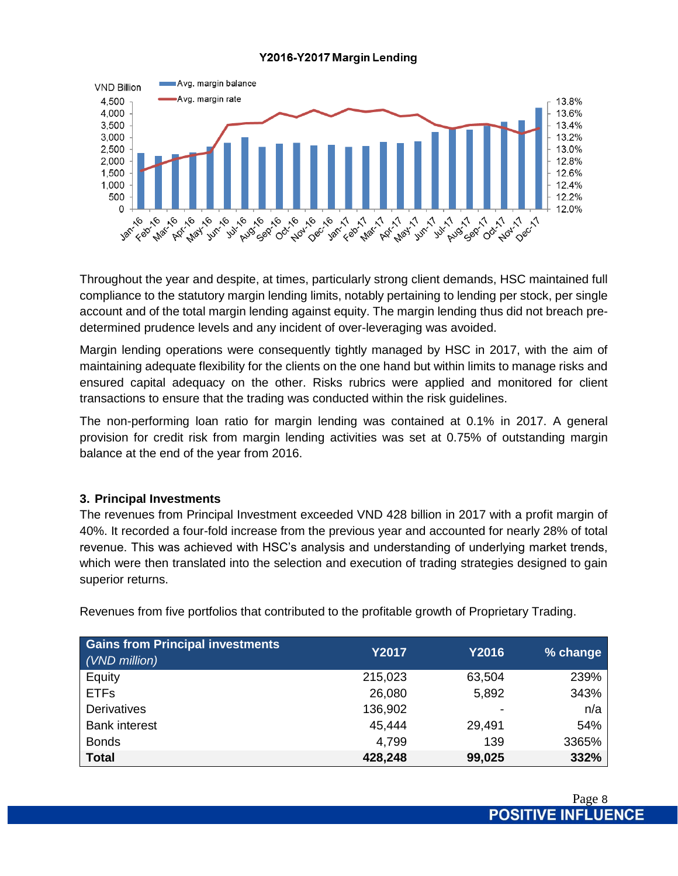### Y2016-Y2017 Margin Lending



Throughout the year and despite, at times, particularly strong client demands, HSC maintained full compliance to the statutory margin lending limits, notably pertaining to lending per stock, per single account and of the total margin lending against equity. The margin lending thus did not breach predetermined prudence levels and any incident of over-leveraging was avoided.

Margin lending operations were consequently tightly managed by HSC in 2017, with the aim of maintaining adequate flexibility for the clients on the one hand but within limits to manage risks and ensured capital adequacy on the other. Risks rubrics were applied and monitored for client transactions to ensure that the trading was conducted within the risk guidelines.

The non-performing loan ratio for margin lending was contained at 0.1% in 2017. A general provision for credit risk from margin lending activities was set at 0.75% of outstanding margin balance at the end of the year from 2016.

### **3. Principal Investments**

The revenues from Principal Investment exceeded VND 428 billion in 2017 with a profit margin of 40%. It recorded a four-fold increase from the previous year and accounted for nearly 28% of total revenue. This was achieved with HSC's analysis and understanding of underlying market trends, which were then translated into the selection and execution of trading strategies designed to gain superior returns.

| <b>Gains from Principal investments</b> | <b>Y2017</b> | <b>Y2016</b> |          |
|-----------------------------------------|--------------|--------------|----------|
| (VND million)                           |              |              | % change |
| Equity                                  | 215,023      | 63,504       | 239%     |
| <b>ETFs</b>                             | 26,080       | 5,892        | 343%     |
| <b>Derivatives</b>                      | 136,902      |              | n/a      |
| <b>Bank interest</b>                    | 45,444       | 29,491       | 54%      |
| <b>Bonds</b>                            | 4,799        | 139          | 3365%    |
| <b>Total</b>                            | 428,248      | 99,025       | 332%     |

Revenues from five portfolios that contributed to the profitable growth of Proprietary Trading.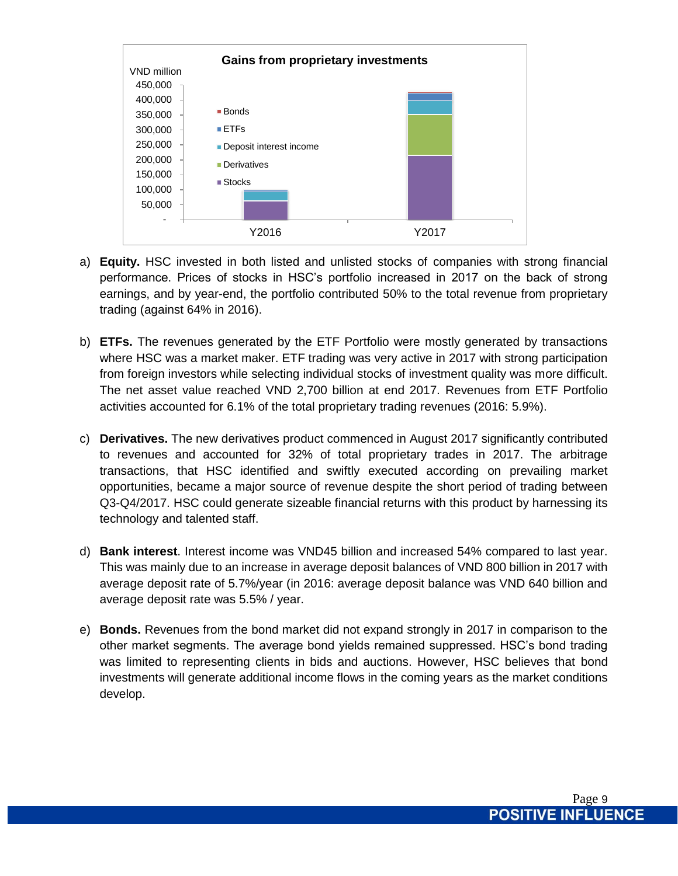

- a) **Equity.** HSC invested in both listed and unlisted stocks of companies with strong financial performance. Prices of stocks in HSC's portfolio increased in 2017 on the back of strong earnings, and by year-end, the portfolio contributed 50% to the total revenue from proprietary trading (against 64% in 2016).
- b) **ETFs.** The revenues generated by the ETF Portfolio were mostly generated by transactions where HSC was a market maker. ETF trading was very active in 2017 with strong participation from foreign investors while selecting individual stocks of investment quality was more difficult. The net asset value reached VND 2,700 billion at end 2017. Revenues from ETF Portfolio activities accounted for 6.1% of the total proprietary trading revenues (2016: 5.9%).
- c) **Derivatives.** The new derivatives product commenced in August 2017 significantly contributed to revenues and accounted for 32% of total proprietary trades in 2017. The arbitrage transactions, that HSC identified and swiftly executed according on prevailing market opportunities, became a major source of revenue despite the short period of trading between Q3-Q4/2017. HSC could generate sizeable financial returns with this product by harnessing its technology and talented staff.
- d) **Bank interest**. Interest income was VND45 billion and increased 54% compared to last year. This was mainly due to an increase in average deposit balances of VND 800 billion in 2017 with average deposit rate of 5.7%/year (in 2016: average deposit balance was VND 640 billion and average deposit rate was 5.5% / year.
- e) **Bonds.** Revenues from the bond market did not expand strongly in 2017 in comparison to the other market segments. The average bond yields remained suppressed. HSC's bond trading was limited to representing clients in bids and auctions. However, HSC believes that bond investments will generate additional income flows in the coming years as the market conditions develop.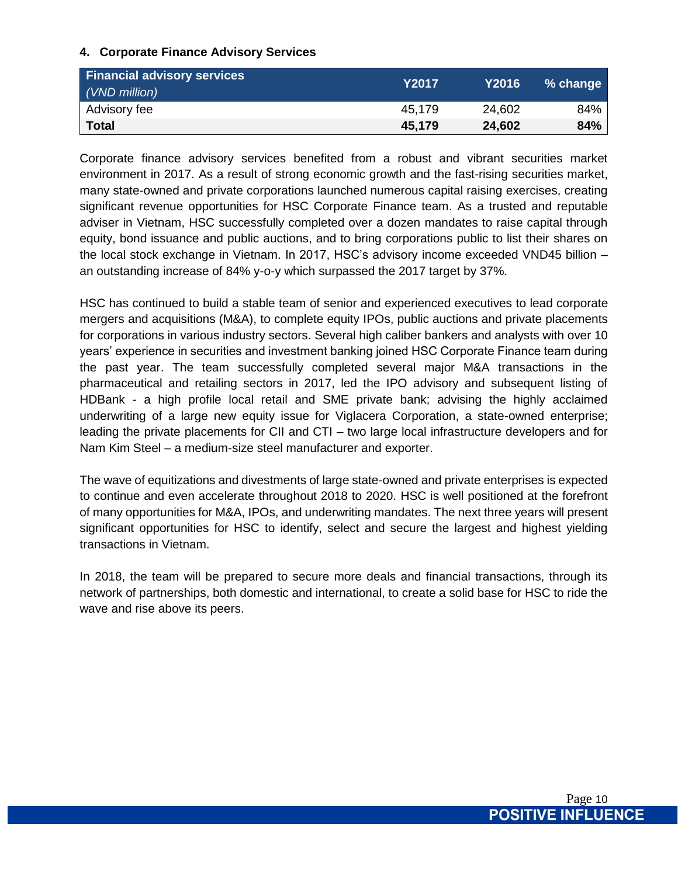# **4. Corporate Finance Advisory Services**

| <b>Financial advisory services</b><br>(VND million) | <b>Y2017</b> | Y2016  | % change |
|-----------------------------------------------------|--------------|--------|----------|
| Advisory fee                                        | 45,179       | 24,602 | 84%      |
| ∣ Total                                             | 45.179       | 24,602 | 84%      |

Corporate finance advisory services benefited from a robust and vibrant securities market environment in 2017. As a result of strong economic growth and the fast-rising securities market, many state-owned and private corporations launched numerous capital raising exercises, creating significant revenue opportunities for HSC Corporate Finance team. As a trusted and reputable adviser in Vietnam, HSC successfully completed over a dozen mandates to raise capital through equity, bond issuance and public auctions, and to bring corporations public to list their shares on the local stock exchange in Vietnam. In 2017, HSC's advisory income exceeded VND45 billion – an outstanding increase of 84% y-o-y which surpassed the 2017 target by 37%.

HSC has continued to build a stable team of senior and experienced executives to lead corporate mergers and acquisitions (M&A), to complete equity IPOs, public auctions and private placements for corporations in various industry sectors. Several high caliber bankers and analysts with over 10 years' experience in securities and investment banking joined HSC Corporate Finance team during the past year. The team successfully completed several major M&A transactions in the pharmaceutical and retailing sectors in 2017, led the IPO advisory and subsequent listing of HDBank - a high profile local retail and SME private bank; advising the highly acclaimed underwriting of a large new equity issue for Viglacera Corporation, a state-owned enterprise; leading the private placements for CII and CTI – two large local infrastructure developers and for Nam Kim Steel – a medium-size steel manufacturer and exporter.

The wave of equitizations and divestments of large state-owned and private enterprises is expected to continue and even accelerate throughout 2018 to 2020. HSC is well positioned at the forefront of many opportunities for M&A, IPOs, and underwriting mandates. The next three years will present significant opportunities for HSC to identify, select and secure the largest and highest yielding transactions in Vietnam.

In 2018, the team will be prepared to secure more deals and financial transactions, through its network of partnerships, both domestic and international, to create a solid base for HSC to ride the wave and rise above its peers.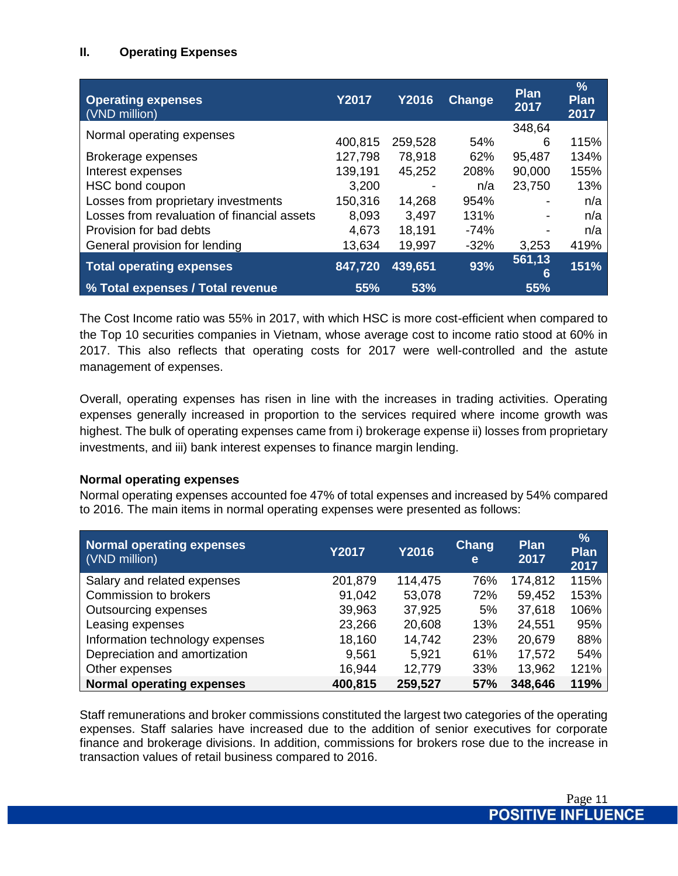# **II. Operating Expenses**

| <b>Operating expenses</b><br>(VND million)  | <b>Y2017</b> | <b>Y2016</b> | Change | <b>Plan</b><br>2017      | $\frac{0}{0}$<br><b>Plan</b><br>2017 |
|---------------------------------------------|--------------|--------------|--------|--------------------------|--------------------------------------|
|                                             |              |              |        | 348,64                   |                                      |
| Normal operating expenses                   | 400,815      | 259,528      | 54%    | 6                        | 115%                                 |
| Brokerage expenses                          | 127,798      | 78,918       | 62%    | 95,487                   | 134%                                 |
| Interest expenses                           | 139,191      | 45,252       | 208%   | 90,000                   | 155%                                 |
| HSC bond coupon                             | 3,200        |              | n/a    | 23,750                   | 13%                                  |
| Losses from proprietary investments         | 150,316      | 14,268       | 954%   |                          | n/a                                  |
| Losses from revaluation of financial assets | 8,093        | 3,497        | 131%   | $\overline{\phantom{a}}$ | n/a                                  |
| Provision for bad debts                     | 4,673        | 18,191       | $-74%$ |                          | n/a                                  |
| General provision for lending               | 13,634       | 19,997       | $-32%$ | 3,253                    | 419%                                 |
| <b>Total operating expenses</b>             | 847,720      | 439,651      | 93%    | 561,13<br>6              | 151%                                 |
| % Total expenses / Total revenue            | 55%          | 53%          |        | 55%                      |                                      |

The Cost Income ratio was 55% in 2017, with which HSC is more cost-efficient when compared to the Top 10 securities companies in Vietnam, whose average cost to income ratio stood at 60% in 2017. This also reflects that operating costs for 2017 were well-controlled and the astute management of expenses.

Overall, operating expenses has risen in line with the increases in trading activities. Operating expenses generally increased in proportion to the services required where income growth was highest. The bulk of operating expenses came from i) brokerage expense ii) losses from proprietary investments, and iii) bank interest expenses to finance margin lending.

### **Normal operating expenses**

Normal operating expenses accounted foe 47% of total expenses and increased by 54% compared to 2016. The main items in normal operating expenses were presented as follows:

| Normal operating expenses<br>(VND million) | <b>Y2017</b> | Y2016   | <b>Chang</b><br>e | <b>Plan</b><br>2017 | $\frac{9}{6}$<br>Plan<br>2017 |
|--------------------------------------------|--------------|---------|-------------------|---------------------|-------------------------------|
| Salary and related expenses                | 201,879      | 114,475 | 76%               | 174,812             | 115%                          |
| Commission to brokers                      | 91,042       | 53,078  | 72%               | 59,452              | 153%                          |
| Outsourcing expenses                       | 39,963       | 37,925  | 5%                | 37,618              | 106%                          |
| Leasing expenses                           | 23,266       | 20,608  | 13%               | 24,551              | 95%                           |
| Information technology expenses            | 18,160       | 14,742  | 23%               | 20,679              | 88%                           |
| Depreciation and amortization              | 9,561        | 5,921   | 61%               | 17,572              | 54%                           |
| Other expenses                             | 16,944       | 12,779  | 33%               | 13,962              | 121%                          |
| <b>Normal operating expenses</b>           | 400,815      | 259,527 | 57%               | 348,646             | 119%                          |

Staff remunerations and broker commissions constituted the largest two categories of the operating expenses. Staff salaries have increased due to the addition of senior executives for corporate finance and brokerage divisions. In addition, commissions for brokers rose due to the increase in transaction values of retail business compared to 2016.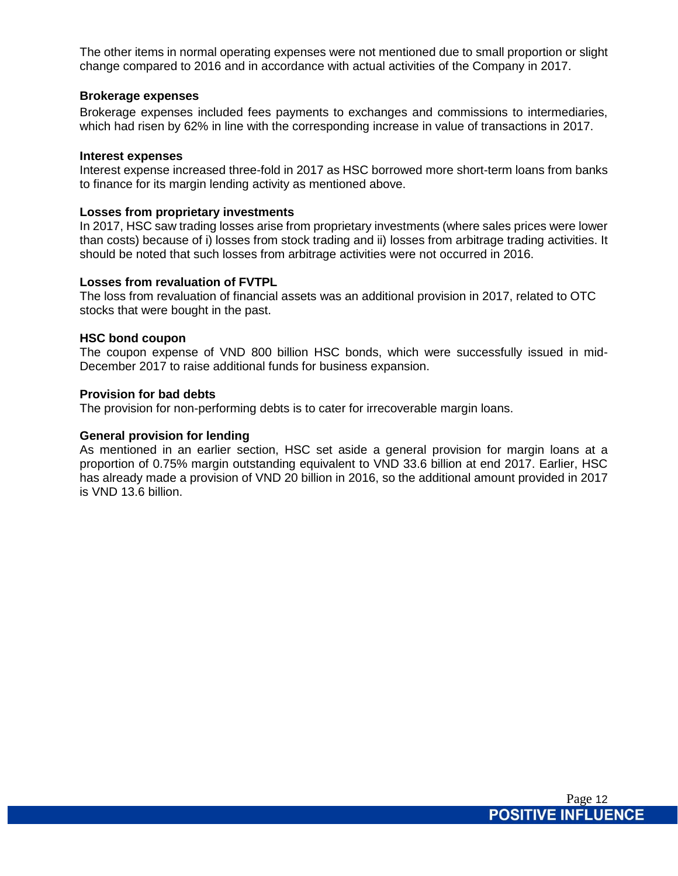The other items in normal operating expenses were not mentioned due to small proportion or slight change compared to 2016 and in accordance with actual activities of the Company in 2017.

#### **Brokerage expenses**

Brokerage expenses included fees payments to exchanges and commissions to intermediaries, which had risen by 62% in line with the corresponding increase in value of transactions in 2017.

#### **Interest expenses**

Interest expense increased three-fold in 2017 as HSC borrowed more short-term loans from banks to finance for its margin lending activity as mentioned above.

#### **Losses from proprietary investments**

In 2017, HSC saw trading losses arise from proprietary investments (where sales prices were lower than costs) because of i) losses from stock trading and ii) losses from arbitrage trading activities. It should be noted that such losses from arbitrage activities were not occurred in 2016.

#### **Losses from revaluation of FVTPL**

The loss from revaluation of financial assets was an additional provision in 2017, related to OTC stocks that were bought in the past.

#### **HSC bond coupon**

The coupon expense of VND 800 billion HSC bonds, which were successfully issued in mid-December 2017 to raise additional funds for business expansion.

#### **Provision for bad debts**

The provision for non-performing debts is to cater for irrecoverable margin loans.

#### **General provision for lending**

As mentioned in an earlier section, HSC set aside a general provision for margin loans at a proportion of 0.75% margin outstanding equivalent to VND 33.6 billion at end 2017. Earlier, HSC has already made a provision of VND 20 billion in 2016, so the additional amount provided in 2017 is VND 13.6 billion.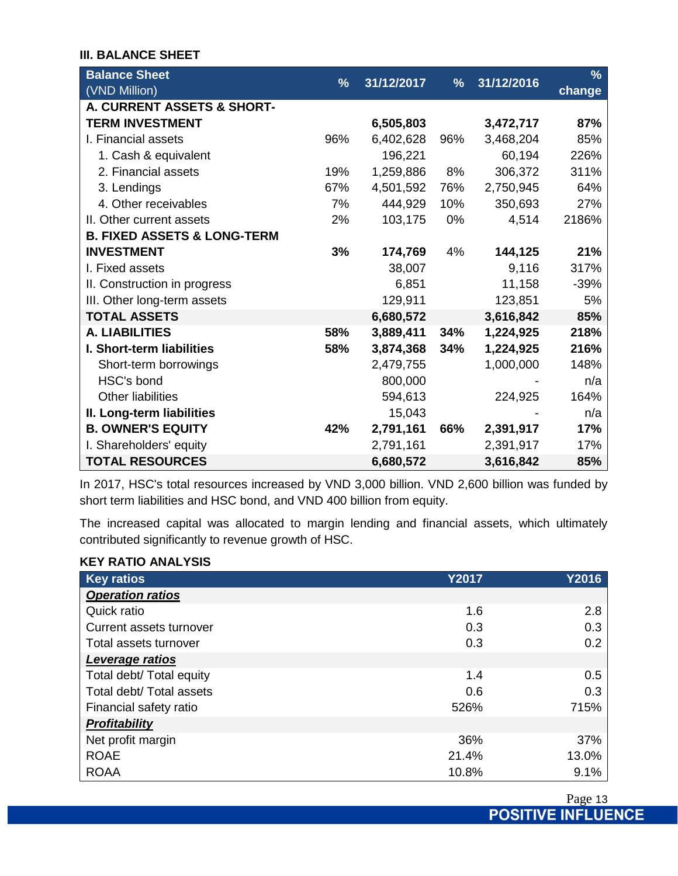### **III. BALANCE SHEET**

| <b>Balance Sheet</b>                   |     |            |               |            | $\frac{9}{6}$ |
|----------------------------------------|-----|------------|---------------|------------|---------------|
| (VND Million)                          | %   | 31/12/2017 | $\frac{9}{6}$ | 31/12/2016 | change        |
| A. CURRENT ASSETS & SHORT-             |     |            |               |            |               |
| <b>TERM INVESTMENT</b>                 |     | 6,505,803  |               | 3,472,717  | 87%           |
| I. Financial assets                    | 96% | 6,402,628  | 96%           | 3,468,204  | 85%           |
| 1. Cash & equivalent                   |     | 196,221    |               | 60,194     | 226%          |
| 2. Financial assets                    | 19% | 1,259,886  | 8%            | 306,372    | 311%          |
| 3. Lendings                            | 67% | 4,501,592  | 76%           | 2,750,945  | 64%           |
| 4. Other receivables                   | 7%  | 444,929    | 10%           | 350,693    | 27%           |
| II. Other current assets               | 2%  | 103,175    | 0%            | 4,514      | 2186%         |
| <b>B. FIXED ASSETS &amp; LONG-TERM</b> |     |            |               |            |               |
| <b>INVESTMENT</b>                      | 3%  | 174,769    | 4%            | 144,125    | 21%           |
| I. Fixed assets                        |     | 38,007     |               | 9,116      | 317%          |
| II. Construction in progress           |     | 6,851      |               | 11,158     | $-39%$        |
| III. Other long-term assets            |     | 129,911    |               | 123,851    | 5%            |
| <b>TOTAL ASSETS</b>                    |     | 6,680,572  |               | 3,616,842  | 85%           |
| <b>A. LIABILITIES</b>                  | 58% | 3,889,411  | 34%           | 1,224,925  | 218%          |
| I. Short-term liabilities              | 58% | 3,874,368  | 34%           | 1,224,925  | 216%          |
| Short-term borrowings                  |     | 2,479,755  |               | 1,000,000  | 148%          |
| HSC's bond                             |     | 800,000    |               |            | n/a           |
| Other liabilities                      |     | 594,613    |               | 224,925    | 164%          |
| II. Long-term liabilities              |     | 15,043     |               |            | n/a           |
| <b>B. OWNER'S EQUITY</b>               | 42% | 2,791,161  | 66%           | 2,391,917  | 17%           |
| I. Shareholders' equity                |     | 2,791,161  |               | 2,391,917  | 17%           |
| <b>TOTAL RESOURCES</b>                 |     | 6,680,572  |               | 3,616,842  | 85%           |

In 2017, HSC's total resources increased by VND 3,000 billion. VND 2,600 billion was funded by short term liabilities and HSC bond, and VND 400 billion from equity.

The increased capital was allocated to margin lending and financial assets, which ultimately contributed significantly to revenue growth of HSC.

### **KEY RATIO ANALYSIS**

| <b>Key ratios</b>        | <b>Y2017</b> | <b>Y2016</b> |
|--------------------------|--------------|--------------|
| <b>Operation ratios</b>  |              |              |
| Quick ratio              | 1.6          | 2.8          |
| Current assets turnover  | 0.3          | 0.3          |
| Total assets turnover    | 0.3          | 0.2          |
| Leverage ratios          |              |              |
| Total debt/ Total equity | 1.4          | 0.5          |
| Total debt/ Total assets | 0.6          | 0.3          |
| Financial safety ratio   | 526%         | 715%         |
| <b>Profitability</b>     |              |              |
| Net profit margin        | 36%          | 37%          |
| <b>ROAE</b>              | 21.4%        | 13.0%        |
| <b>ROAA</b>              | 10.8%        | 9.1%         |